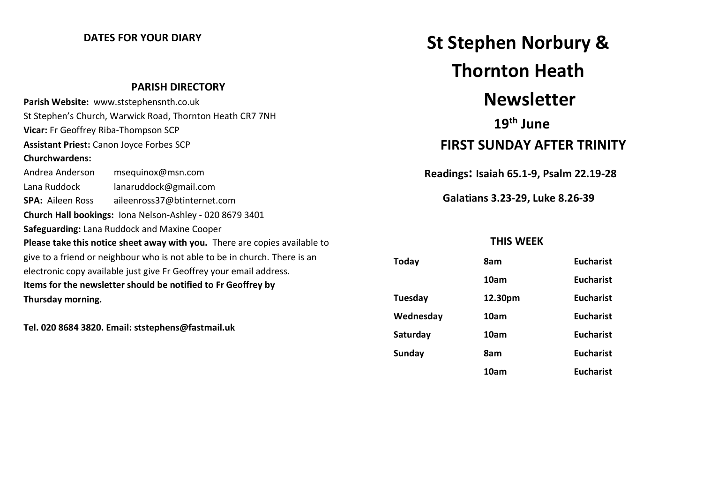### **DATES FOR YOUR DIARY**

#### **PARISH DIRECTORY**

|                                                                            | Parish Website: www.ststephensnth.co.uk |  |  |
|----------------------------------------------------------------------------|-----------------------------------------|--|--|
| St Stephen's Church, Warwick Road, Thornton Heath CR7 7NH                  |                                         |  |  |
| Vicar: Fr Geoffrey Riba-Thompson SCP                                       |                                         |  |  |
| <b>Assistant Priest: Canon Joyce Forbes SCP</b>                            |                                         |  |  |
| <b>Churchwardens:</b>                                                      |                                         |  |  |
| Andrea Anderson                                                            | msequinox@msn.com                       |  |  |
| Lana Ruddock                                                               | lanaruddock@gmail.com                   |  |  |
| <b>SPA: Aileen Ross</b>                                                    | aileenross37@btinternet.com             |  |  |
| Church Hall bookings: Iona Nelson-Ashley - 020 8679 3401                   |                                         |  |  |
| Safeguarding: Lana Ruddock and Maxine Cooper                               |                                         |  |  |
| Please take this notice sheet away with you. There are copies available to |                                         |  |  |
| give to a friend or neighbour who is not able to be in church. There is an |                                         |  |  |
| electronic copy available just give Fr Geoffrey your email address.        |                                         |  |  |
| Items for the newsletter should be notified to Fr Geoffrey by              |                                         |  |  |
| Thursday morning.                                                          |                                         |  |  |

**Tel. 020 8684 3820. Email: ststephens@fastmail.uk**

# **St Stephen Norbury & Thornton Heath Newsletter**

## **19th June FIRST SUNDAY AFTER TRINITY**

 **Readings: Isaiah 65.1-9, Psalm 22.19-28**

 **Galatians 3.23-29, Luke 8.26-39**

### **THIS WEEK**

| <b>Today</b>  | 8am     | <b>Eucharist</b> |
|---------------|---------|------------------|
|               | 10am    | <b>Eucharist</b> |
| Tuesday       | 12.30pm | <b>Eucharist</b> |
| Wednesday     | 10am    | <b>Eucharist</b> |
| Saturday      | 10am    | <b>Eucharist</b> |
| <b>Sunday</b> | 8am     | <b>Eucharist</b> |
|               | 10am    | <b>Eucharist</b> |